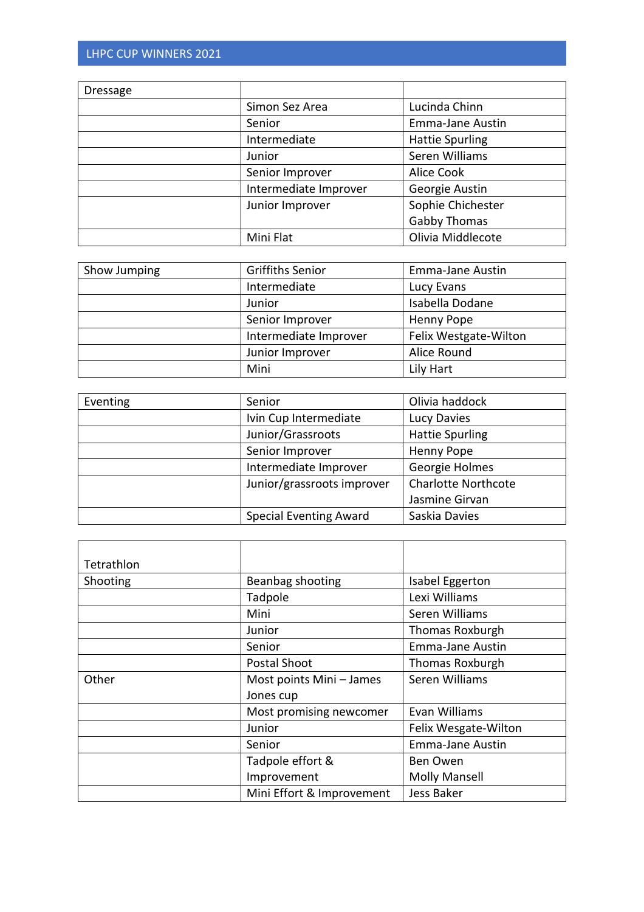| Dressage |                       |                         |
|----------|-----------------------|-------------------------|
|          | Simon Sez Area        | Lucinda Chinn           |
|          | Senior                | <b>Emma-Jane Austin</b> |
|          | Intermediate          | <b>Hattie Spurling</b>  |
|          | Junior                | Seren Williams          |
|          | Senior Improver       | Alice Cook              |
|          | Intermediate Improver | Georgie Austin          |
|          | Junior Improver       | Sophie Chichester       |
|          |                       | <b>Gabby Thomas</b>     |
|          | Mini Flat             | Olivia Middlecote       |

| Show Jumping | <b>Griffiths Senior</b> | <b>Emma-Jane Austin</b> |
|--------------|-------------------------|-------------------------|
|              | Intermediate            | Lucy Evans              |
|              | Junior                  | Isabella Dodane         |
|              | Senior Improver         | Henny Pope              |
|              | Intermediate Improver   | Felix Westgate-Wilton   |
|              | Junior Improver         | Alice Round             |
|              | Mini                    | Lily Hart               |

| Eventing | Senior                        | Olivia haddock             |
|----------|-------------------------------|----------------------------|
|          | Ivin Cup Intermediate         | Lucy Davies                |
|          | Junior/Grassroots             | <b>Hattie Spurling</b>     |
|          | Senior Improver               | <b>Henny Pope</b>          |
|          | Intermediate Improver         | Georgie Holmes             |
|          | Junior/grassroots improver    | <b>Charlotte Northcote</b> |
|          |                               | Jasmine Girvan             |
|          | <b>Special Eventing Award</b> | Saskia Davies              |

| Tetrathlon |                           |                         |
|------------|---------------------------|-------------------------|
| Shooting   | Beanbag shooting          | Isabel Eggerton         |
|            | Tadpole                   | Lexi Williams           |
|            | Mini                      | Seren Williams          |
|            | Junior                    | Thomas Roxburgh         |
|            | Senior                    | <b>Emma-Jane Austin</b> |
|            | Postal Shoot              | <b>Thomas Roxburgh</b>  |
| Other      | Most points Mini - James  | Seren Williams          |
|            | Jones cup                 |                         |
|            | Most promising newcomer   | Evan Williams           |
|            | Junior                    | Felix Wesgate-Wilton    |
|            | Senior                    | <b>Emma-Jane Austin</b> |
|            | Tadpole effort &          | <b>Ben Owen</b>         |
|            | Improvement               | <b>Molly Mansell</b>    |
|            | Mini Effort & Improvement | Jess Baker              |